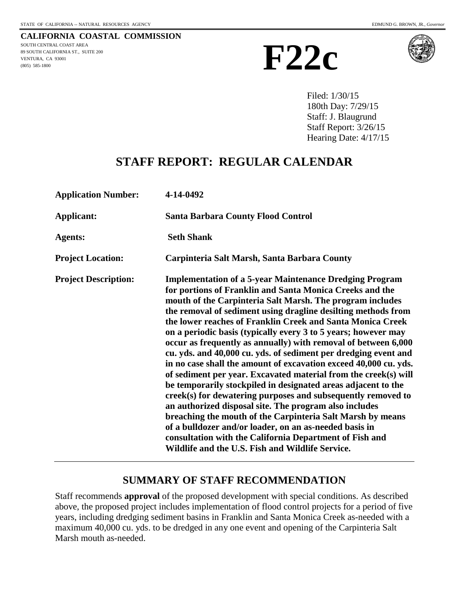**CALIFORNIA COASTAL COMMISSION** SOUTH CENTRAL COAST AREA 89 SOUTH CALIFORNIA ST., SUITE 200 VENTURA, CA 93001 (805) 585-1800





Filed: 1/30/15 180th Day: 7/29/15 Staff: J. Blaugrund Staff Report: 3/26/15 Hearing Date: 4/17/15

# **STAFF REPORT: REGULAR CALENDAR**

| <b>Application Number:</b>  | 4-14-0492                                                                                                                                                                                                                                                                                                                                                                                                                                                                                                                                                                                                                                                                                                                                                                                                                                                                                                                                                                                                                                                                                              |
|-----------------------------|--------------------------------------------------------------------------------------------------------------------------------------------------------------------------------------------------------------------------------------------------------------------------------------------------------------------------------------------------------------------------------------------------------------------------------------------------------------------------------------------------------------------------------------------------------------------------------------------------------------------------------------------------------------------------------------------------------------------------------------------------------------------------------------------------------------------------------------------------------------------------------------------------------------------------------------------------------------------------------------------------------------------------------------------------------------------------------------------------------|
| Applicant:                  | <b>Santa Barbara County Flood Control</b>                                                                                                                                                                                                                                                                                                                                                                                                                                                                                                                                                                                                                                                                                                                                                                                                                                                                                                                                                                                                                                                              |
| <b>Agents:</b>              | <b>Seth Shank</b>                                                                                                                                                                                                                                                                                                                                                                                                                                                                                                                                                                                                                                                                                                                                                                                                                                                                                                                                                                                                                                                                                      |
| <b>Project Location:</b>    | Carpinteria Salt Marsh, Santa Barbara County                                                                                                                                                                                                                                                                                                                                                                                                                                                                                                                                                                                                                                                                                                                                                                                                                                                                                                                                                                                                                                                           |
| <b>Project Description:</b> | <b>Implementation of a 5-year Maintenance Dredging Program</b><br>for portions of Franklin and Santa Monica Creeks and the<br>mouth of the Carpinteria Salt Marsh. The program includes<br>the removal of sediment using dragline desilting methods from<br>the lower reaches of Franklin Creek and Santa Monica Creek<br>on a periodic basis (typically every 3 to 5 years; however may<br>occur as frequently as annually) with removal of between 6,000<br>cu. yds. and 40,000 cu. yds. of sediment per dredging event and<br>in no case shall the amount of excavation exceed 40,000 cu. yds.<br>of sediment per year. Excavated material from the creek(s) will<br>be temporarily stockpiled in designated areas adjacent to the<br>creek(s) for dewatering purposes and subsequently removed to<br>an authorized disposal site. The program also includes<br>breaching the mouth of the Carpinteria Salt Marsh by means<br>of a bulldozer and/or loader, on an as-needed basis in<br>consultation with the California Department of Fish and<br>Wildlife and the U.S. Fish and Wildlife Service. |

# **SUMMARY OF STAFF RECOMMENDATION**

Staff recommends **approval** of the proposed development with special conditions. As described above, the proposed project includes implementation of flood control projects for a period of five years, including dredging sediment basins in Franklin and Santa Monica Creek as-needed with a maximum 40,000 cu. yds. to be dredged in any one event and opening of the Carpinteria Salt Marsh mouth as-needed.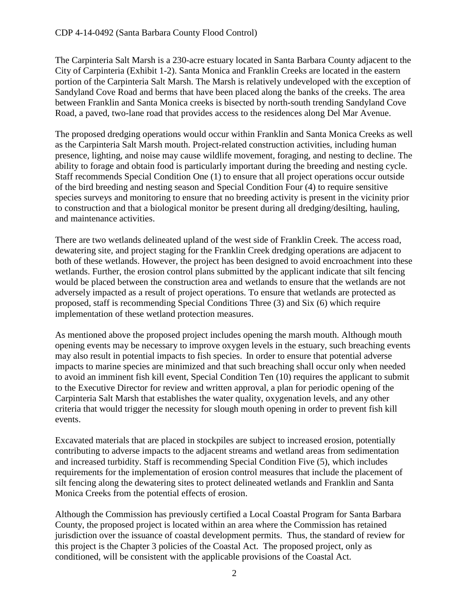The Carpinteria Salt Marsh is a 230-acre estuary located in Santa Barbara County adjacent to the City of Carpinteria (Exhibit 1-2). Santa Monica and Franklin Creeks are located in the eastern portion of the Carpinteria Salt Marsh. The Marsh is relatively undeveloped with the exception of Sandyland Cove Road and berms that have been placed along the banks of the creeks. The area between Franklin and Santa Monica creeks is bisected by north-south trending Sandyland Cove Road, a paved, two-lane road that provides access to the residences along Del Mar Avenue.

The proposed dredging operations would occur within Franklin and Santa Monica Creeks as well as the Carpinteria Salt Marsh mouth. Project-related construction activities, including human presence, lighting, and noise may cause wildlife movement, foraging, and nesting to decline. The ability to forage and obtain food is particularly important during the breeding and nesting cycle. Staff recommends Special Condition One (1) to ensure that all project operations occur outside of the bird breeding and nesting season and Special Condition Four (4) to require sensitive species surveys and monitoring to ensure that no breeding activity is present in the vicinity prior to construction and that a biological monitor be present during all dredging/desilting, hauling, and maintenance activities.

There are two wetlands delineated upland of the west side of Franklin Creek. The access road, dewatering site, and project staging for the Franklin Creek dredging operations are adjacent to both of these wetlands. However, the project has been designed to avoid encroachment into these wetlands. Further, the erosion control plans submitted by the applicant indicate that silt fencing would be placed between the construction area and wetlands to ensure that the wetlands are not adversely impacted as a result of project operations. To ensure that wetlands are protected as proposed, staff is recommending Special Conditions Three (3) and Six (6) which require implementation of these wetland protection measures.

As mentioned above the proposed project includes opening the marsh mouth. Although mouth opening events may be necessary to improve oxygen levels in the estuary, such breaching events may also result in potential impacts to fish species.In order to ensure that potential adverse impacts to marine species are minimized and that such breaching shall occur only when needed to avoid an imminent fish kill event, Special Condition Ten (10) requires the applicant to submit to the Executive Director for review and written approval, a plan for periodic opening of the Carpinteria Salt Marsh that establishes the water quality, oxygenation levels, and any other criteria that would trigger the necessity for slough mouth opening in order to prevent fish kill events.

Excavated materials that are placed in stockpiles are subject to increased erosion, potentially contributing to adverse impacts to the adjacent streams and wetland areas from sedimentation and increased turbidity. Staff is recommending Special Condition Five (5), which includes requirements for the implementation of erosion control measures that include the placement of silt fencing along the dewatering sites to protect delineated wetlands and Franklin and Santa Monica Creeks from the potential effects of erosion.

Although the Commission has previously certified a Local Coastal Program for Santa Barbara County, the proposed project is located within an area where the Commission has retained jurisdiction over the issuance of coastal development permits. Thus, the standard of review for this project is the Chapter 3 policies of the Coastal Act. The proposed project, only as conditioned, will be consistent with the applicable provisions of the Coastal Act.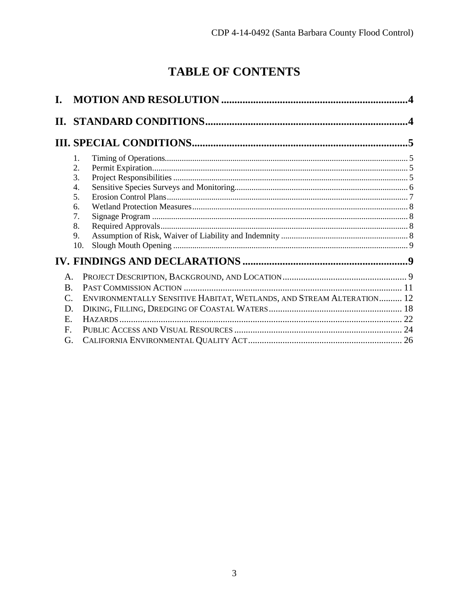# **TABLE OF CONTENTS**

|                 |                                                                       | $\overline{\mathbf{4}}$ |
|-----------------|-----------------------------------------------------------------------|-------------------------|
|                 |                                                                       |                         |
|                 | 1.                                                                    |                         |
|                 | 2.                                                                    |                         |
|                 | 3.<br>4.                                                              |                         |
|                 | 5.                                                                    |                         |
|                 | б.                                                                    |                         |
|                 | 7.                                                                    |                         |
|                 | 8.                                                                    |                         |
|                 | 9.<br>10.                                                             |                         |
|                 |                                                                       |                         |
| $\mathsf{A}$ .  |                                                                       |                         |
| <b>B</b> .      |                                                                       |                         |
| $\mathcal{C}$ . | ENVIRONMENTALLY SENSITIVE HABITAT, WETLANDS, AND STREAM ALTERATION 12 |                         |
| D.              |                                                                       |                         |
| E.              |                                                                       |                         |
| F.              |                                                                       |                         |
| G.              |                                                                       |                         |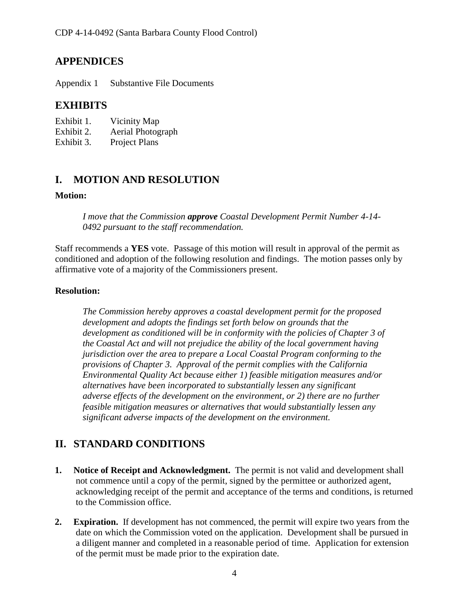# **APPENDICES**

Appendix 1 Substantive File Documents

# **EXHIBITS**

| Exhibit 1. | Vicinity Map      |
|------------|-------------------|
| Exhibit 2. | Aerial Photograph |
| Exhibit 3. | Project Plans     |

# <span id="page-3-0"></span>**I. MOTION AND RESOLUTION**

### **Motion:**

*I move that the Commission approve Coastal Development Permit Number 4-14- 0492 pursuant to the staff recommendation.* 

Staff recommends a **YES** vote. Passage of this motion will result in approval of the permit as conditioned and adoption of the following resolution and findings. The motion passes only by affirmative vote of a majority of the Commissioners present.

# **Resolution:**

*The Commission hereby approves a coastal development permit for the proposed development and adopts the findings set forth below on grounds that the development as conditioned will be in conformity with the policies of Chapter 3 of the Coastal Act and will not prejudice the ability of the local government having jurisdiction over the area to prepare a Local Coastal Program conforming to the provisions of Chapter 3. Approval of the permit complies with the California Environmental Quality Act because either 1) feasible mitigation measures and/or alternatives have been incorporated to substantially lessen any significant adverse effects of the development on the environment, or 2) there are no further feasible mitigation measures or alternatives that would substantially lessen any significant adverse impacts of the development on the environment.* 

# <span id="page-3-1"></span>**II. STANDARD CONDITIONS**

- **1. Notice of Receipt and Acknowledgment.** The permit is not valid and development shall not commence until a copy of the permit, signed by the permittee or authorized agent, acknowledging receipt of the permit and acceptance of the terms and conditions, is returned to the Commission office.
- **2. Expiration.** If development has not commenced, the permit will expire two years from the date on which the Commission voted on the application. Development shall be pursued in a diligent manner and completed in a reasonable period of time. Application for extension of the permit must be made prior to the expiration date.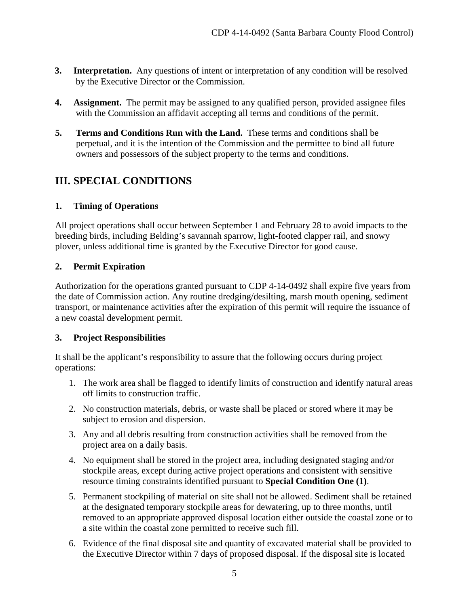- **3.** Interpretation. Any questions of intent or interpretation of any condition will be resolved by the Executive Director or the Commission.
- **4. Assignment.** The permit may be assigned to any qualified person, provided assignee files with the Commission an affidavit accepting all terms and conditions of the permit.
- **5. Terms and Conditions Run with the Land.** These terms and conditions shall be perpetual, and it is the intention of the Commission and the permittee to bind all future owners and possessors of the subject property to the terms and conditions.

# <span id="page-4-0"></span>**III. SPECIAL CONDITIONS**

# <span id="page-4-1"></span>**1. Timing of Operations**

All project operations shall occur between September 1 and February 28 to avoid impacts to the breeding birds, including Belding's savannah sparrow, light-footed clapper rail, and snowy plover, unless additional time is granted by the Executive Director for good cause.

# <span id="page-4-2"></span>**2. Permit Expiration**

Authorization for the operations granted pursuant to CDP 4-14-0492 shall expire five years from the date of Commission action. Any routine dredging/desilting, marsh mouth opening, sediment transport, or maintenance activities after the expiration of this permit will require the issuance of a new coastal development permit.

### <span id="page-4-3"></span>**3. Project Responsibilities**

It shall be the applicant's responsibility to assure that the following occurs during project operations:

- 1. The work area shall be flagged to identify limits of construction and identify natural areas off limits to construction traffic.
- 2. No construction materials, debris, or waste shall be placed or stored where it may be subject to erosion and dispersion.
- 3. Any and all debris resulting from construction activities shall be removed from the project area on a daily basis.
- 4. No equipment shall be stored in the project area, including designated staging and/or stockpile areas, except during active project operations and consistent with sensitive resource timing constraints identified pursuant to **Special Condition One (1)**.
- 5. Permanent stockpiling of material on site shall not be allowed. Sediment shall be retained at the designated temporary stockpile areas for dewatering, up to three months, until removed to an appropriate approved disposal location either outside the coastal zone or to a site within the coastal zone permitted to receive such fill.
- 6. Evidence of the final disposal site and quantity of excavated material shall be provided to the Executive Director within 7 days of proposed disposal. If the disposal site is located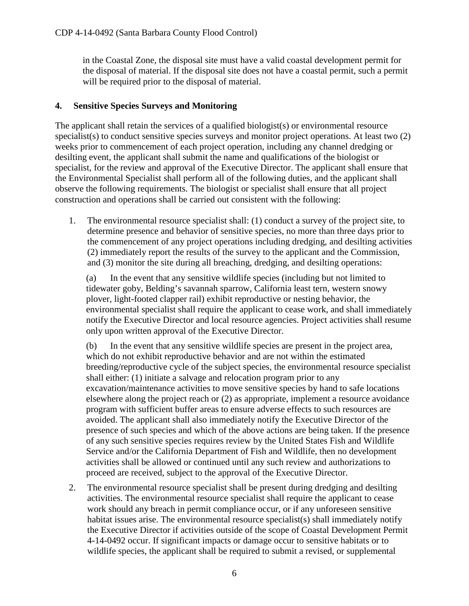in the Coastal Zone, the disposal site must have a valid coastal development permit for the disposal of material. If the disposal site does not have a coastal permit, such a permit will be required prior to the disposal of material.

## <span id="page-5-0"></span>**4. Sensitive Species Surveys and Monitoring**

The applicant shall retain the services of a qualified biologist(s) or environmental resource specialist(s) to conduct sensitive species surveys and monitor project operations. At least two (2) weeks prior to commencement of each project operation, including any channel dredging or desilting event, the applicant shall submit the name and qualifications of the biologist or specialist, for the review and approval of the Executive Director. The applicant shall ensure that the Environmental Specialist shall perform all of the following duties, and the applicant shall observe the following requirements. The biologist or specialist shall ensure that all project construction and operations shall be carried out consistent with the following:

1. The environmental resource specialist shall: (1) conduct a survey of the project site, to determine presence and behavior of sensitive species, no more than three days prior to the commencement of any project operations including dredging, and desilting activities (2) immediately report the results of the survey to the applicant and the Commission, and (3) monitor the site during all breaching, dredging, and desilting operations:

(a) In the event that any sensitive wildlife species (including but not limited to tidewater goby, Belding's savannah sparrow, California least tern, western snowy plover, light-footed clapper rail) exhibit reproductive or nesting behavior, the environmental specialist shall require the applicant to cease work, and shall immediately notify the Executive Director and local resource agencies. Project activities shall resume only upon written approval of the Executive Director.

(b) In the event that any sensitive wildlife species are present in the project area, which do not exhibit reproductive behavior and are not within the estimated breeding/reproductive cycle of the subject species, the environmental resource specialist shall either: (1) initiate a salvage and relocation program prior to any excavation/maintenance activities to move sensitive species by hand to safe locations elsewhere along the project reach or (2) as appropriate, implement a resource avoidance program with sufficient buffer areas to ensure adverse effects to such resources are avoided. The applicant shall also immediately notify the Executive Director of the presence of such species and which of the above actions are being taken. If the presence of any such sensitive species requires review by the United States Fish and Wildlife Service and/or the California Department of Fish and Wildlife, then no development activities shall be allowed or continued until any such review and authorizations to proceed are received, subject to the approval of the Executive Director.

2. The environmental resource specialist shall be present during dredging and desilting activities. The environmental resource specialist shall require the applicant to cease work should any breach in permit compliance occur, or if any unforeseen sensitive habitat issues arise. The environmental resource specialist(s) shall immediately notify the Executive Director if activities outside of the scope of Coastal Development Permit 4-14-0492 occur. If significant impacts or damage occur to sensitive habitats or to wildlife species, the applicant shall be required to submit a revised, or supplemental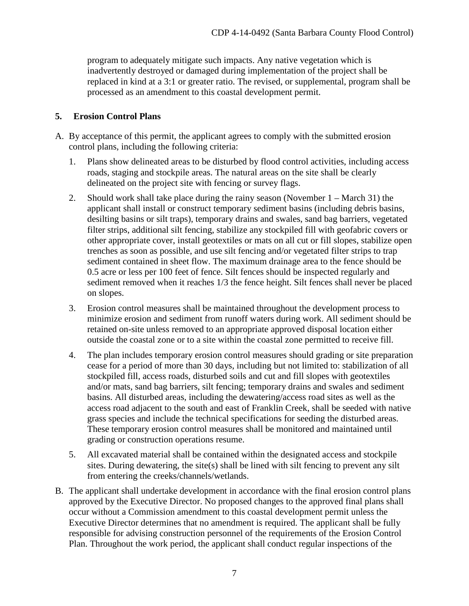program to adequately mitigate such impacts. Any native vegetation which is inadvertently destroyed or damaged during implementation of the project shall be replaced in kind at a 3:1 or greater ratio. The revised, or supplemental, program shall be processed as an amendment to this coastal development permit.

## <span id="page-6-0"></span>**5. Erosion Control Plans**

- A. By acceptance of this permit, the applicant agrees to comply with the submitted erosion control plans, including the following criteria:
	- 1. Plans show delineated areas to be disturbed by flood control activities, including access roads, staging and stockpile areas. The natural areas on the site shall be clearly delineated on the project site with fencing or survey flags.
	- 2. Should work shall take place during the rainy season (November 1 March 31) the applicant shall install or construct temporary sediment basins (including debris basins, desilting basins or silt traps), temporary drains and swales, sand bag barriers, vegetated filter strips, additional silt fencing, stabilize any stockpiled fill with geofabric covers or other appropriate cover, install geotextiles or mats on all cut or fill slopes, stabilize open trenches as soon as possible, and use silt fencing and/or vegetated filter strips to trap sediment contained in sheet flow. The maximum drainage area to the fence should be 0.5 acre or less per 100 feet of fence. Silt fences should be inspected regularly and sediment removed when it reaches 1/3 the fence height. Silt fences shall never be placed on slopes.
	- 3. Erosion control measures shall be maintained throughout the development process to minimize erosion and sediment from runoff waters during work. All sediment should be retained on-site unless removed to an appropriate approved disposal location either outside the coastal zone or to a site within the coastal zone permitted to receive fill.
	- 4. The plan includes temporary erosion control measures should grading or site preparation cease for a period of more than 30 days, including but not limited to: stabilization of all stockpiled fill, access roads, disturbed soils and cut and fill slopes with geotextiles and/or mats, sand bag barriers, silt fencing; temporary drains and swales and sediment basins. All disturbed areas, including the dewatering/access road sites as well as the access road adjacent to the south and east of Franklin Creek, shall be seeded with native grass species and include the technical specifications for seeding the disturbed areas. These temporary erosion control measures shall be monitored and maintained until grading or construction operations resume.
	- 5. All excavated material shall be contained within the designated access and stockpile sites. During dewatering, the site(s) shall be lined with silt fencing to prevent any silt from entering the creeks/channels/wetlands.
- B. The applicant shall undertake development in accordance with the final erosion control plans approved by the Executive Director. No proposed changes to the approved final plans shall occur without a Commission amendment to this coastal development permit unless the Executive Director determines that no amendment is required. The applicant shall be fully responsible for advising construction personnel of the requirements of the Erosion Control Plan. Throughout the work period, the applicant shall conduct regular inspections of the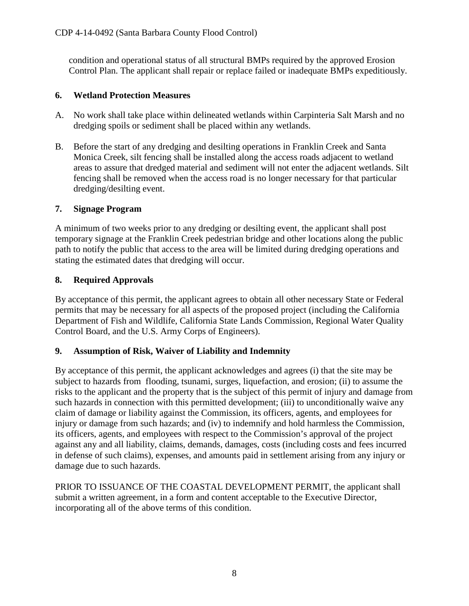condition and operational status of all structural BMPs required by the approved Erosion Control Plan. The applicant shall repair or replace failed or inadequate BMPs expeditiously.

# <span id="page-7-0"></span>**6. Wetland Protection Measures**

- A. No work shall take place within delineated wetlands within Carpinteria Salt Marsh and no dredging spoils or sediment shall be placed within any wetlands.
- B. Before the start of any dredging and desilting operations in Franklin Creek and Santa Monica Creek, silt fencing shall be installed along the access roads adjacent to wetland areas to assure that dredged material and sediment will not enter the adjacent wetlands. Silt fencing shall be removed when the access road is no longer necessary for that particular dredging/desilting event.

# <span id="page-7-1"></span>**7. Signage Program**

A minimum of two weeks prior to any dredging or desilting event, the applicant shall post temporary signage at the Franklin Creek pedestrian bridge and other locations along the public path to notify the public that access to the area will be limited during dredging operations and stating the estimated dates that dredging will occur.

# <span id="page-7-2"></span>**8. Required Approvals**

By acceptance of this permit, the applicant agrees to obtain all other necessary State or Federal permits that may be necessary for all aspects of the proposed project (including the California Department of Fish and Wildlife, California State Lands Commission, Regional Water Quality Control Board, and the U.S. Army Corps of Engineers).

### <span id="page-7-3"></span>**9. Assumption of Risk, Waiver of Liability and Indemnity**

By acceptance of this permit, the applicant acknowledges and agrees (i) that the site may be subject to hazards from flooding, tsunami, surges, liquefaction, and erosion; (ii) to assume the risks to the applicant and the property that is the subject of this permit of injury and damage from such hazards in connection with this permitted development; (iii) to unconditionally waive any claim of damage or liability against the Commission, its officers, agents, and employees for injury or damage from such hazards; and (iv) to indemnify and hold harmless the Commission, its officers, agents, and employees with respect to the Commission's approval of the project against any and all liability, claims, demands, damages, costs (including costs and fees incurred in defense of such claims), expenses, and amounts paid in settlement arising from any injury or damage due to such hazards.

PRIOR TO ISSUANCE OF THE COASTAL DEVELOPMENT PERMIT, the applicant shall submit a written agreement, in a form and content acceptable to the Executive Director, incorporating all of the above terms of this condition.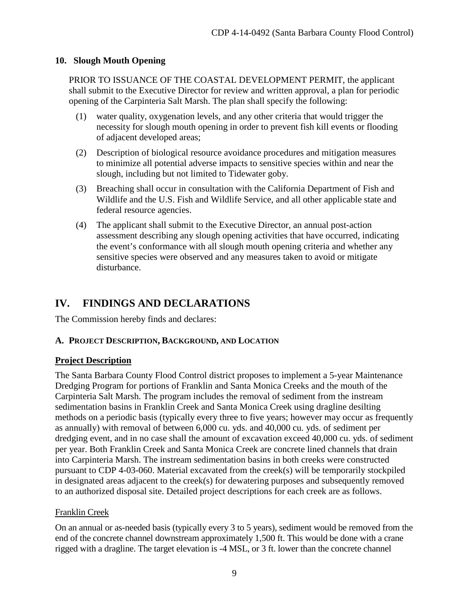# <span id="page-8-0"></span>**10. Slough Mouth Opening**

PRIOR TO ISSUANCE OF THE COASTAL DEVELOPMENT PERMIT, the applicant shall submit to the Executive Director for review and written approval, a plan for periodic opening of the Carpinteria Salt Marsh. The plan shall specify the following:

- (1) water quality, oxygenation levels, and any other criteria that would trigger the necessity for slough mouth opening in order to prevent fish kill events or flooding of adjacent developed areas;
- (2) Description of biological resource avoidance procedures and mitigation measures to minimize all potential adverse impacts to sensitive species within and near the slough, including but not limited to Tidewater goby.
- (3) Breaching shall occur in consultation with the California Department of Fish and Wildlife and the U.S. Fish and Wildlife Service, and all other applicable state and federal resource agencies.
- (4) The applicant shall submit to the Executive Director, an annual post-action assessment describing any slough opening activities that have occurred, indicating the event's conformance with all slough mouth opening criteria and whether any sensitive species were observed and any measures taken to avoid or mitigate disturbance.

# <span id="page-8-1"></span>**IV. FINDINGS AND DECLARATIONS**

The Commission hereby finds and declares:

# <span id="page-8-2"></span>**A. PROJECT DESCRIPTION, BACKGROUND, AND LOCATION**

### **Project Description**

The Santa Barbara County Flood Control district proposes to implement a 5-year Maintenance Dredging Program for portions of Franklin and Santa Monica Creeks and the mouth of the Carpinteria Salt Marsh. The program includes the removal of sediment from the instream sedimentation basins in Franklin Creek and Santa Monica Creek using dragline desilting methods on a periodic basis (typically every three to five years; however may occur as frequently as annually) with removal of between 6,000 cu. yds. and 40,000 cu. yds. of sediment per dredging event, and in no case shall the amount of excavation exceed 40,000 cu. yds. of sediment per year. Both Franklin Creek and Santa Monica Creek are concrete lined channels that drain into Carpinteria Marsh. The instream sedimentation basins in both creeks were constructed pursuant to CDP 4-03-060. Material excavated from the creek(s) will be temporarily stockpiled in designated areas adjacent to the creek(s) for dewatering purposes and subsequently removed to an authorized disposal site. Detailed project descriptions for each creek are as follows.

### Franklin Creek

On an annual or as-needed basis (typically every 3 to 5 years), sediment would be removed from the end of the concrete channel downstream approximately 1,500 ft. This would be done with a crane rigged with a dragline. The target elevation is -4 MSL, or 3 ft. lower than the concrete channel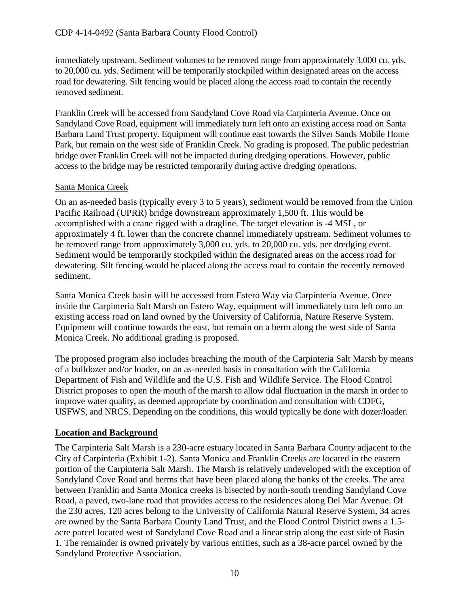immediately upstream. Sediment volumes to be removed range from approximately 3,000 cu. yds. to 20,000 cu. yds. Sediment will be temporarily stockpiled within designated areas on the access road for dewatering. Silt fencing would be placed along the access road to contain the recently removed sediment.

Franklin Creek will be accessed from Sandyland Cove Road via Carpinteria Avenue. Once on Sandyland Cove Road, equipment will immediately turn left onto an existing access road on Santa Barbara Land Trust property. Equipment will continue east towards the Silver Sands Mobile Home Park, but remain on the west side of Franklin Creek. No grading is proposed. The public pedestrian bridge over Franklin Creek will not be impacted during dredging operations. However, public access to the bridge may be restricted temporarily during active dredging operations.

### Santa Monica Creek

On an as-needed basis (typically every 3 to 5 years), sediment would be removed from the Union Pacific Railroad (UPRR) bridge downstream approximately 1,500 ft. This would be accomplished with a crane rigged with a dragline. The target elevation is -4 MSL, or approximately 4 ft. lower than the concrete channel immediately upstream. Sediment volumes to be removed range from approximately 3,000 cu. yds. to 20,000 cu. yds. per dredging event. Sediment would be temporarily stockpiled within the designated areas on the access road for dewatering. Silt fencing would be placed along the access road to contain the recently removed sediment.

Santa Monica Creek basin will be accessed from Estero Way via Carpinteria Avenue. Once inside the Carpinteria Salt Marsh on Estero Way, equipment will immediately turn left onto an existing access road on land owned by the University of California, Nature Reserve System. Equipment will continue towards the east, but remain on a berm along the west side of Santa Monica Creek. No additional grading is proposed.

The proposed program also includes breaching the mouth of the Carpinteria Salt Marsh by means of a bulldozer and/or loader, on an as-needed basis in consultation with the California Department of Fish and Wildlife and the U.S. Fish and Wildlife Service. The Flood Control District proposes to open the mouth of the marsh to allow tidal fluctuation in the marsh in order to improve water quality, as deemed appropriate by coordination and consultation with CDFG, USFWS, and NRCS. Depending on the conditions, this would typically be done with dozer/loader.

### **Location and Background**

The Carpinteria Salt Marsh is a 230-acre estuary located in Santa Barbara County adjacent to the City of Carpinteria (Exhibit 1-2). Santa Monica and Franklin Creeks are located in the eastern portion of the Carpinteria Salt Marsh. The Marsh is relatively undeveloped with the exception of Sandyland Cove Road and berms that have been placed along the banks of the creeks. The area between Franklin and Santa Monica creeks is bisected by north-south trending Sandyland Cove Road, a paved, two-lane road that provides access to the residences along Del Mar Avenue. Of the 230 acres, 120 acres belong to the University of California Natural Reserve System, 34 acres are owned by the Santa Barbara County Land Trust, and the Flood Control District owns a 1.5 acre parcel located west of Sandyland Cove Road and a linear strip along the east side of Basin 1. The remainder is owned privately by various entities, such as a 38-acre parcel owned by the Sandyland Protective Association.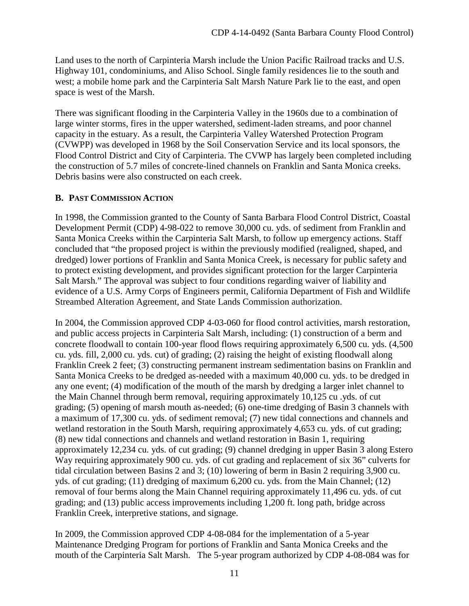Land uses to the north of Carpinteria Marsh include the Union Pacific Railroad tracks and U.S. Highway 101, condominiums, and Aliso School. Single family residences lie to the south and west; a mobile home park and the Carpinteria Salt Marsh Nature Park lie to the east, and open space is west of the Marsh.

There was significant flooding in the Carpinteria Valley in the 1960s due to a combination of large winter storms, fires in the upper watershed, sediment-laden streams, and poor channel capacity in the estuary. As a result, the Carpinteria Valley Watershed Protection Program (CVWPP) was developed in 1968 by the Soil Conservation Service and its local sponsors, the Flood Control District and City of Carpinteria. The CVWP has largely been completed including the construction of 5.7 miles of concrete-lined channels on Franklin and Santa Monica creeks. Debris basins were also constructed on each creek.

# <span id="page-10-0"></span>**B. PAST COMMISSION ACTION**

In 1998, the Commission granted to the County of Santa Barbara Flood Control District, Coastal Development Permit (CDP) 4-98-022 to remove 30,000 cu. yds. of sediment from Franklin and Santa Monica Creeks within the Carpinteria Salt Marsh, to follow up emergency actions. Staff concluded that "the proposed project is within the previously modified (realigned, shaped, and dredged) lower portions of Franklin and Santa Monica Creek, is necessary for public safety and to protect existing development, and provides significant protection for the larger Carpinteria Salt Marsh." The approval was subject to four conditions regarding waiver of liability and evidence of a U.S. Army Corps of Engineers permit, California Department of Fish and Wildlife Streambed Alteration Agreement, and State Lands Commission authorization.

In 2004, the Commission approved CDP 4-03-060 for flood control activities, marsh restoration, and public access projects in Carpinteria Salt Marsh, including: (1) construction of a berm and concrete floodwall to contain 100-year flood flows requiring approximately 6,500 cu. yds. (4,500 cu. yds. fill, 2,000 cu. yds. cut) of grading; (2) raising the height of existing floodwall along Franklin Creek 2 feet; (3) constructing permanent instream sedimentation basins on Franklin and Santa Monica Creeks to be dredged as-needed with a maximum 40,000 cu. yds. to be dredged in any one event; (4) modification of the mouth of the marsh by dredging a larger inlet channel to the Main Channel through berm removal, requiring approximately 10,125 cu .yds. of cut grading; (5) opening of marsh mouth as-needed; (6) one-time dredging of Basin 3 channels with a maximum of 17,300 cu. yds. of sediment removal; (7) new tidal connections and channels and wetland restoration in the South Marsh, requiring approximately 4,653 cu. yds. of cut grading; (8) new tidal connections and channels and wetland restoration in Basin 1, requiring approximately 12,234 cu. yds. of cut grading; (9) channel dredging in upper Basin 3 along Estero Way requiring approximately 900 cu. yds. of cut grading and replacement of six 36" culverts for tidal circulation between Basins 2 and 3; (10) lowering of berm in Basin 2 requiring 3,900 cu. yds. of cut grading; (11) dredging of maximum 6,200 cu. yds. from the Main Channel; (12) removal of four berms along the Main Channel requiring approximately 11,496 cu. yds. of cut grading; and (13) public access improvements including 1,200 ft. long path, bridge across Franklin Creek, interpretive stations, and signage.

In 2009, the Commission approved CDP 4-08-084 for the implementation of a 5-year Maintenance Dredging Program for portions of Franklin and Santa Monica Creeks and the mouth of the Carpinteria Salt Marsh. The 5-year program authorized by CDP 4-08-084 was for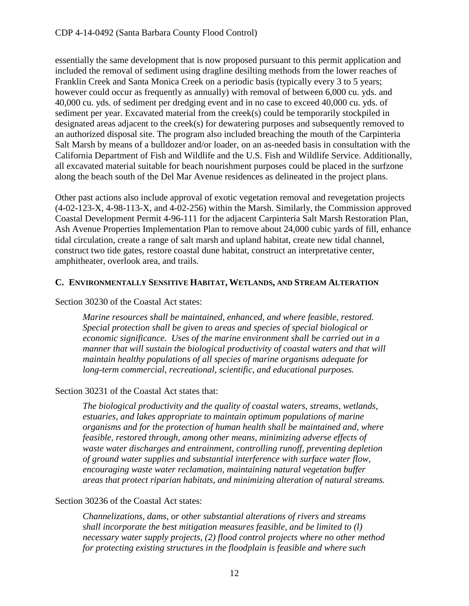essentially the same development that is now proposed pursuant to this permit application and included the removal of sediment using dragline desilting methods from the lower reaches of Franklin Creek and Santa Monica Creek on a periodic basis (typically every 3 to 5 years; however could occur as frequently as annually) with removal of between 6,000 cu. yds. and 40,000 cu. yds. of sediment per dredging event and in no case to exceed 40,000 cu. yds. of sediment per year. Excavated material from the creek(s) could be temporarily stockpiled in designated areas adjacent to the creek(s) for dewatering purposes and subsequently removed to an authorized disposal site. The program also included breaching the mouth of the Carpinteria Salt Marsh by means of a bulldozer and/or loader, on an as-needed basis in consultation with the California Department of Fish and Wildlife and the U.S. Fish and Wildlife Service. Additionally, all excavated material suitable for beach nourishment purposes could be placed in the surfzone along the beach south of the Del Mar Avenue residences as delineated in the project plans.

Other past actions also include approval of exotic vegetation removal and revegetation projects (4-02-123-X, 4-98-113-X, and 4-02-256) within the Marsh. Similarly, the Commission approved Coastal Development Permit 4-96-111 for the adjacent Carpinteria Salt Marsh Restoration Plan, Ash Avenue Properties Implementation Plan to remove about 24,000 cubic yards of fill, enhance tidal circulation, create a range of salt marsh and upland habitat, create new tidal channel, construct two tide gates, restore coastal dune habitat, construct an interpretative center, amphitheater, overlook area, and trails.

#### <span id="page-11-0"></span>**C. ENVIRONMENTALLY SENSITIVE HABITAT, WETLANDS, AND STREAM ALTERATION**

#### Section 30230 of the Coastal Act states:

*Marine resources shall be maintained, enhanced, and where feasible, restored. Special protection shall be given to areas and species of special biological or economic significance. Uses of the marine environment shall be carried out in a manner that will sustain the biological productivity of coastal waters and that will maintain healthy populations of all species of marine organisms adequate for long-term commercial, recreational, scientific, and educational purposes.* 

#### Section 30231 of the Coastal Act states that:

*The biological productivity and the quality of coastal waters, streams, wetlands, estuaries, and lakes appropriate to maintain optimum populations of marine organisms and for the protection of human health shall be maintained and, where feasible, restored through, among other means, minimizing adverse effects of waste water discharges and entrainment, controlling runoff, preventing depletion of ground water supplies and substantial interference with surface water flow, encouraging waste water reclamation, maintaining natural vegetation buffer areas that protect riparian habitats, and minimizing alteration of natural streams.* 

### Section 30236 of the Coastal Act states:

*Channelizations, dams, or other substantial alterations of rivers and streams shall incorporate the best mitigation measures feasible, and be limited to (l) necessary water supply projects, (2) flood control projects where no other method for protecting existing structures in the floodplain is feasible and where such*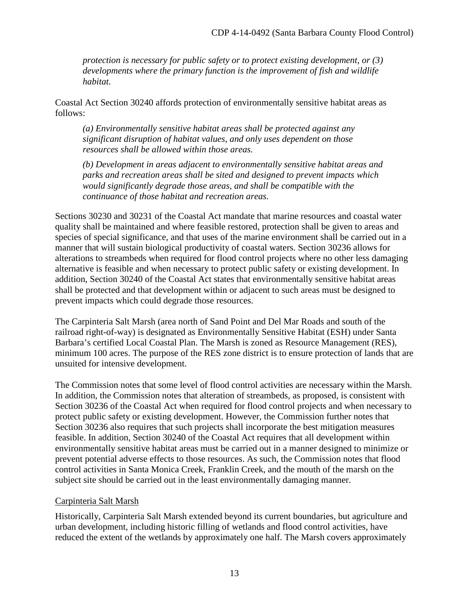*protection is necessary for public safety or to protect existing development, or (3) developments where the primary function is the improvement of fish and wildlife habitat.* 

Coastal Act Section 30240 affords protection of environmentally sensitive habitat areas as follows:

*(a) Environmentally sensitive habitat areas shall be protected against any significant disruption of habitat values, and only uses dependent on those resources shall be allowed within those areas.* 

*(b) Development in areas adjacent to environmentally sensitive habitat areas and parks and recreation areas shall be sited and designed to prevent impacts which would significantly degrade those areas, and shall be compatible with the continuance of those habitat and recreation areas.* 

Sections 30230 and 30231 of the Coastal Act mandate that marine resources and coastal water quality shall be maintained and where feasible restored, protection shall be given to areas and species of special significance, and that uses of the marine environment shall be carried out in a manner that will sustain biological productivity of coastal waters. Section 30236 allows for alterations to streambeds when required for flood control projects where no other less damaging alternative is feasible and when necessary to protect public safety or existing development. In addition, Section 30240 of the Coastal Act states that environmentally sensitive habitat areas shall be protected and that development within or adjacent to such areas must be designed to prevent impacts which could degrade those resources.

The Carpinteria Salt Marsh (area north of Sand Point and Del Mar Roads and south of the railroad right-of-way) is designated as Environmentally Sensitive Habitat (ESH) under Santa Barbara's certified Local Coastal Plan. The Marsh is zoned as Resource Management (RES), minimum 100 acres. The purpose of the RES zone district is to ensure protection of lands that are unsuited for intensive development.

The Commission notes that some level of flood control activities are necessary within the Marsh. In addition, the Commission notes that alteration of streambeds, as proposed, is consistent with Section 30236 of the Coastal Act when required for flood control projects and when necessary to protect public safety or existing development. However, the Commission further notes that Section 30236 also requires that such projects shall incorporate the best mitigation measures feasible. In addition, Section 30240 of the Coastal Act requires that all development within environmentally sensitive habitat areas must be carried out in a manner designed to minimize or prevent potential adverse effects to those resources. As such, the Commission notes that flood control activities in Santa Monica Creek, Franklin Creek, and the mouth of the marsh on the subject site should be carried out in the least environmentally damaging manner.

### Carpinteria Salt Marsh

Historically, Carpinteria Salt Marsh extended beyond its current boundaries, but agriculture and urban development, including historic filling of wetlands and flood control activities, have reduced the extent of the wetlands by approximately one half. The Marsh covers approximately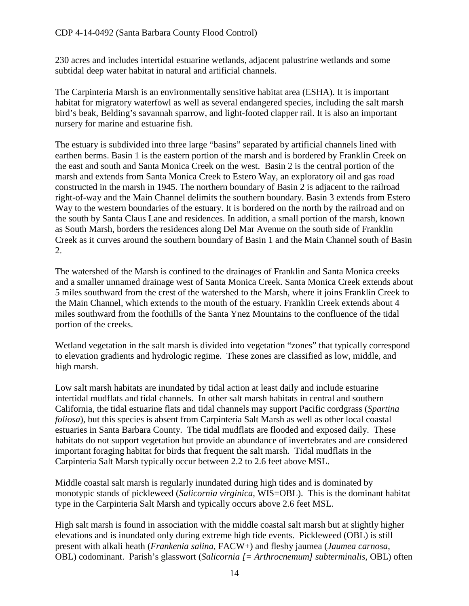230 acres and includes intertidal estuarine wetlands, adjacent palustrine wetlands and some subtidal deep water habitat in natural and artificial channels.

The Carpinteria Marsh is an environmentally sensitive habitat area (ESHA). It is important habitat for migratory waterfowl as well as several endangered species, including the salt marsh bird's beak, Belding's savannah sparrow, and light-footed clapper rail. It is also an important nursery for marine and estuarine fish.

The estuary is subdivided into three large "basins" separated by artificial channels lined with earthen berms. Basin 1 is the eastern portion of the marsh and is bordered by Franklin Creek on the east and south and Santa Monica Creek on the west. Basin 2 is the central portion of the marsh and extends from Santa Monica Creek to Estero Way, an exploratory oil and gas road constructed in the marsh in 1945. The northern boundary of Basin 2 is adjacent to the railroad right-of-way and the Main Channel delimits the southern boundary. Basin 3 extends from Estero Way to the western boundaries of the estuary. It is bordered on the north by the railroad and on the south by Santa Claus Lane and residences. In addition, a small portion of the marsh, known as South Marsh, borders the residences along Del Mar Avenue on the south side of Franklin Creek as it curves around the southern boundary of Basin 1 and the Main Channel south of Basin 2.

The watershed of the Marsh is confined to the drainages of Franklin and Santa Monica creeks and a smaller unnamed drainage west of Santa Monica Creek. Santa Monica Creek extends about 5 miles southward from the crest of the watershed to the Marsh, where it joins Franklin Creek to the Main Channel, which extends to the mouth of the estuary. Franklin Creek extends about 4 miles southward from the foothills of the Santa Ynez Mountains to the confluence of the tidal portion of the creeks.

Wetland vegetation in the salt marsh is divided into vegetation "zones" that typically correspond to elevation gradients and hydrologic regime. These zones are classified as low, middle, and high marsh.

Low salt marsh habitats are inundated by tidal action at least daily and include estuarine intertidal mudflats and tidal channels. In other salt marsh habitats in central and southern California, the tidal estuarine flats and tidal channels may support Pacific cordgrass (*Spartina foliosa*), but this species is absent from Carpinteria Salt Marsh as well as other local coastal estuaries in Santa Barbara County. The tidal mudflats are flooded and exposed daily. These habitats do not support vegetation but provide an abundance of invertebrates and are considered important foraging habitat for birds that frequent the salt marsh. Tidal mudflats in the Carpinteria Salt Marsh typically occur between 2.2 to 2.6 feet above MSL.

Middle coastal salt marsh is regularly inundated during high tides and is dominated by monotypic stands of pickleweed (*Salicornia virginica,* WIS=OBL). This is the dominant habitat type in the Carpinteria Salt Marsh and typically occurs above 2.6 feet MSL.

High salt marsh is found in association with the middle coastal salt marsh but at slightly higher elevations and is inundated only during extreme high tide events. Pickleweed (OBL) is still present with alkali heath (*Frankenia salina*, FACW+) and fleshy jaumea (*Jaumea carnosa*, OBL) codominant. Parish's glasswort (*Salicornia [= Arthrocnemum] subterminalis*, OBL) often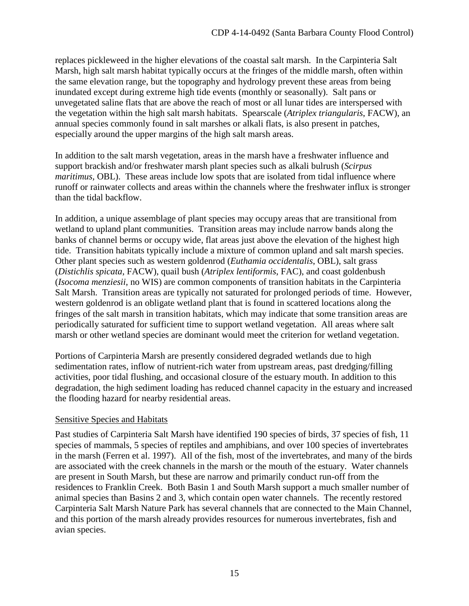replaces pickleweed in the higher elevations of the coastal salt marsh. In the Carpinteria Salt Marsh, high salt marsh habitat typically occurs at the fringes of the middle marsh, often within the same elevation range, but the topography and hydrology prevent these areas from being inundated except during extreme high tide events (monthly or seasonally). Salt pans or unvegetated saline flats that are above the reach of most or all lunar tides are interspersed with the vegetation within the high salt marsh habitats. Spearscale (*Atriplex triangularis*, FACW), an annual species commonly found in salt marshes or alkali flats, is also present in patches, especially around the upper margins of the high salt marsh areas.

In addition to the salt marsh vegetation, areas in the marsh have a freshwater influence and support brackish and/or freshwater marsh plant species such as alkali bulrush (*Scirpus maritimus, OBL*). These areas include low spots that are isolated from tidal influence where runoff or rainwater collects and areas within the channels where the freshwater influx is stronger than the tidal backflow.

In addition, a unique assemblage of plant species may occupy areas that are transitional from wetland to upland plant communities. Transition areas may include narrow bands along the banks of channel berms or occupy wide, flat areas just above the elevation of the highest high tide. Transition habitats typically include a mixture of common upland and salt marsh species. Other plant species such as western goldenrod (*Euthamia occidentalis*, OBL), salt grass (*Distichlis spicata*, FACW), quail bush (*Atriplex lentiformis*, FAC), and coast goldenbush (*Isocoma menziesii*, no WIS) are common components of transition habitats in the Carpinteria Salt Marsh. Transition areas are typically not saturated for prolonged periods of time. However, western goldenrod is an obligate wetland plant that is found in scattered locations along the fringes of the salt marsh in transition habitats, which may indicate that some transition areas are periodically saturated for sufficient time to support wetland vegetation. All areas where salt marsh or other wetland species are dominant would meet the criterion for wetland vegetation.

Portions of Carpinteria Marsh are presently considered degraded wetlands due to high sedimentation rates, inflow of nutrient-rich water from upstream areas, past dredging/filling activities, poor tidal flushing, and occasional closure of the estuary mouth. In addition to this degradation, the high sediment loading has reduced channel capacity in the estuary and increased the flooding hazard for nearby residential areas.

### Sensitive Species and Habitats

Past studies of Carpinteria Salt Marsh have identified 190 species of birds, 37 species of fish, 11 species of mammals, 5 species of reptiles and amphibians, and over 100 species of invertebrates in the marsh (Ferren et al. 1997). All of the fish, most of the invertebrates, and many of the birds are associated with the creek channels in the marsh or the mouth of the estuary. Water channels are present in South Marsh, but these are narrow and primarily conduct run-off from the residences to Franklin Creek. Both Basin 1 and South Marsh support a much smaller number of animal species than Basins 2 and 3, which contain open water channels. The recently restored Carpinteria Salt Marsh Nature Park has several channels that are connected to the Main Channel, and this portion of the marsh already provides resources for numerous invertebrates, fish and avian species.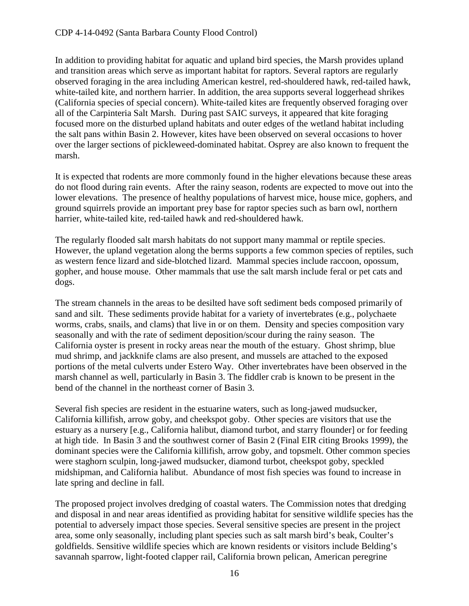In addition to providing habitat for aquatic and upland bird species, the Marsh provides upland and transition areas which serve as important habitat for raptors. Several raptors are regularly observed foraging in the area including American kestrel, red-shouldered hawk, red-tailed hawk, white-tailed kite, and northern harrier. In addition, the area supports several loggerhead shrikes (California species of special concern). White-tailed kites are frequently observed foraging over all of the Carpinteria Salt Marsh. During past SAIC surveys, it appeared that kite foraging focused more on the disturbed upland habitats and outer edges of the wetland habitat including the salt pans within Basin 2. However, kites have been observed on several occasions to hover over the larger sections of pickleweed-dominated habitat. Osprey are also known to frequent the marsh.

It is expected that rodents are more commonly found in the higher elevations because these areas do not flood during rain events. After the rainy season, rodents are expected to move out into the lower elevations. The presence of healthy populations of harvest mice, house mice, gophers, and ground squirrels provide an important prey base for raptor species such as barn owl, northern harrier, white-tailed kite, red-tailed hawk and red-shouldered hawk.

The regularly flooded salt marsh habitats do not support many mammal or reptile species. However, the upland vegetation along the berms supports a few common species of reptiles, such as western fence lizard and side-blotched lizard. Mammal species include raccoon, opossum, gopher, and house mouse. Other mammals that use the salt marsh include feral or pet cats and dogs.

The stream channels in the areas to be desilted have soft sediment beds composed primarily of sand and silt. These sediments provide habitat for a variety of invertebrates (e.g., polychaete worms, crabs, snails, and clams) that live in or on them. Density and species composition vary seasonally and with the rate of sediment deposition/scour during the rainy season. The California oyster is present in rocky areas near the mouth of the estuary. Ghost shrimp, blue mud shrimp, and jackknife clams are also present, and mussels are attached to the exposed portions of the metal culverts under Estero Way. Other invertebrates have been observed in the marsh channel as well, particularly in Basin 3. The fiddler crab is known to be present in the bend of the channel in the northeast corner of Basin 3.

Several fish species are resident in the estuarine waters, such as long-jawed mudsucker, California killifish, arrow goby, and cheekspot goby. Other species are visitors that use the estuary as a nursery [e.g., California halibut, diamond turbot, and starry flounder] or for feeding at high tide. In Basin 3 and the southwest corner of Basin 2 (Final EIR citing Brooks 1999), the dominant species were the California killifish, arrow goby, and topsmelt. Other common species were staghorn sculpin, long-jawed mudsucker, diamond turbot, cheekspot goby, speckled midshipman, and California halibut. Abundance of most fish species was found to increase in late spring and decline in fall.

The proposed project involves dredging of coastal waters. The Commission notes that dredging and disposal in and near areas identified as providing habitat for sensitive wildlife species has the potential to adversely impact those species. Several sensitive species are present in the project area, some only seasonally, including plant species such as salt marsh bird's beak, Coulter's goldfields. Sensitive wildlife species which are known residents or visitors include Belding's savannah sparrow, light-footed clapper rail, California brown pelican, American peregrine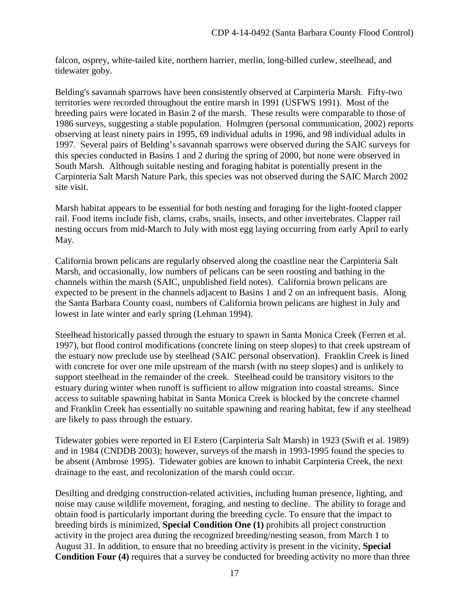falcon, osprey, white-tailed kite, northern harrier, merlin, long-billed curlew, steelhead, and tidewater goby.

Belding's savannah sparrows have been consistently observed at Carpinteria Marsh. Fifty-two territories were recorded throughout the entire marsh in 1991 (USFWS 1991). Most of the breeding pairs were located in Basin 2 of the marsh. These results were comparable to those of 1986 surveys, suggesting a stable population. Holmgren (personal communication, 2002) reports observing at least ninety pairs in 1995, 69 individual adults in 1996, and 98 individual adults in 1997. Several pairs of Belding's savannah sparrows were observed during the SAIC surveys for this species conducted in Basins 1 and 2 during the spring of 2000, but none were observed in South Marsh. Although suitable nesting and foraging habitat is potentially present in the Carpinteria Salt Marsh Nature Park, this species was not observed during the SAIC March 2002 site visit.

Marsh habitat appears to be essential for both nesting and foraging for the light-footed clapper rail. Food items include fish, clams, crabs, snails, insects, and other invertebrates. Clapper rail nesting occurs from mid-March to July with most egg laying occurring from early April to early May.

California brown pelicans are regularly observed along the coastline near the Carpinteria Salt Marsh, and occasionally, low numbers of pelicans can be seen roosting and bathing in the channels within the marsh (SAIC, unpublished field notes). California brown pelicans are expected to be present in the channels adjacent to Basins 1 and 2 on an infrequent basis. Along the Santa Barbara County coast, numbers of California brown pelicans are highest in July and lowest in late winter and early spring (Lehman 1994).

Steelhead historically passed through the estuary to spawn in Santa Monica Creek (Ferren et al. 1997), but flood control modifications (concrete lining on steep slopes) to that creek upstream of the estuary now preclude use by steelhead (SAIC personal observation). Franklin Creek is lined with concrete for over one mile upstream of the marsh (with no steep slopes) and is unlikely to support steelhead in the remainder of the creek. Steelhead could be transitory visitors to the estuary during winter when runoff is sufficient to allow migration into coastal streams. Since access to suitable spawning habitat in Santa Monica Creek is blocked by the concrete channel and Franklin Creek has essentially no suitable spawning and rearing habitat, few if any steelhead are likely to pass through the estuary.

Tidewater gobies were reported in El Estero (Carpinteria Salt Marsh) in 1923 (Swift et al. 1989) and in 1984 (CNDDB 2003); however, surveys of the marsh in 1993-1995 found the species to be absent (Ambrose 1995). Tidewater gobies are known to inhabit Carpinteria Creek, the next drainage to the east, and recolonization of the marsh could occur.

Desilting and dredging construction-related activities, including human presence, lighting, and noise may cause wildlife movement, foraging, and nesting to decline. The ability to forage and obtain food is particularly important during the breeding cycle. To ensure that the impact to breeding birds is minimized, **Special Condition One (1)** prohibits all project construction activity in the project area during the recognized breeding/nesting season, from March 1 to August 31. In addition, to ensure that no breeding activity is present in the vicinity, **Special Condition Four (4)** requires that a survey be conducted for breeding activity no more than three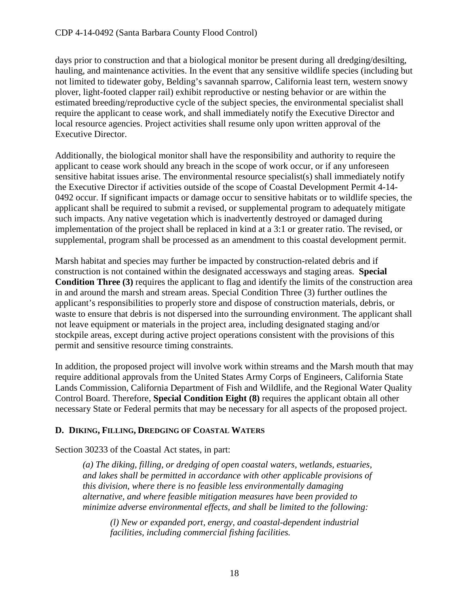days prior to construction and that a biological monitor be present during all dredging/desilting, hauling, and maintenance activities. In the event that any sensitive wildlife species (including but not limited to tidewater goby, Belding's savannah sparrow, California least tern, western snowy plover, light-footed clapper rail) exhibit reproductive or nesting behavior or are within the estimated breeding/reproductive cycle of the subject species, the environmental specialist shall require the applicant to cease work, and shall immediately notify the Executive Director and local resource agencies. Project activities shall resume only upon written approval of the Executive Director.

Additionally, the biological monitor shall have the responsibility and authority to require the applicant to cease work should any breach in the scope of work occur, or if any unforeseen sensitive habitat issues arise. The environmental resource specialist(s) shall immediately notify the Executive Director if activities outside of the scope of Coastal Development Permit 4-14- 0492 occur. If significant impacts or damage occur to sensitive habitats or to wildlife species, the applicant shall be required to submit a revised, or supplemental program to adequately mitigate such impacts. Any native vegetation which is inadvertently destroyed or damaged during implementation of the project shall be replaced in kind at a 3:1 or greater ratio. The revised, or supplemental, program shall be processed as an amendment to this coastal development permit.

Marsh habitat and species may further be impacted by construction-related debris and if construction is not contained within the designated accessways and staging areas. **Special Condition Three (3)** requires the applicant to flag and identify the limits of the construction area in and around the marsh and stream areas. Special Condition Three (3) further outlines the applicant's responsibilities to properly store and dispose of construction materials, debris, or waste to ensure that debris is not dispersed into the surrounding environment. The applicant shall not leave equipment or materials in the project area, including designated staging and/or stockpile areas, except during active project operations consistent with the provisions of this permit and sensitive resource timing constraints.

In addition, the proposed project will involve work within streams and the Marsh mouth that may require additional approvals from the United States Army Corps of Engineers, California State Lands Commission, California Department of Fish and Wildlife, and the Regional Water Quality Control Board. Therefore, **Special Condition Eight (8)** requires the applicant obtain all other necessary State or Federal permits that may be necessary for all aspects of the proposed project.

### <span id="page-17-0"></span>**D. DIKING, FILLING, DREDGING OF COASTAL WATERS**

Section 30233 of the Coastal Act states, in part:

*(a) The diking, filling, or dredging of open coastal waters, wetlands, estuaries, and lakes shall be permitted in accordance with other applicable provisions of this division, where there is no feasible less environmentally damaging alternative, and where feasible mitigation measures have been provided to minimize adverse environmental effects, and shall be limited to the following:* 

*(l) New or expanded port, energy, and coastal-dependent industrial facilities, including commercial fishing facilities.*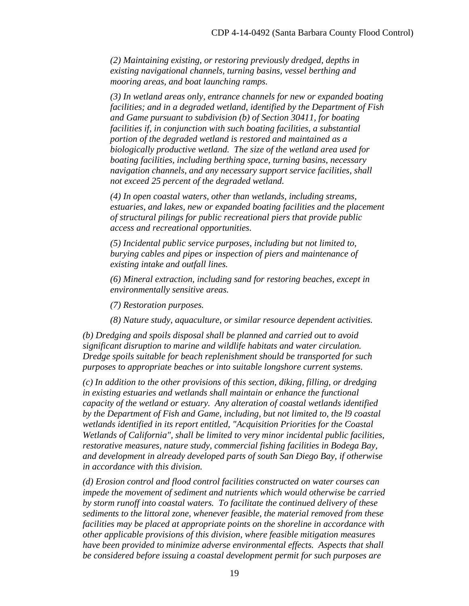*(2) Maintaining existing, or restoring previously dredged, depths in existing navigational channels, turning basins, vessel berthing and mooring areas, and boat launching ramps.* 

*(3) In wetland areas only, entrance channels for new or expanded boating facilities; and in a degraded wetland, identified by the Department of Fish and Game pursuant to subdivision (b) of Section 30411, for boating facilities if, in conjunction with such boating facilities, a substantial portion of the degraded wetland is restored and maintained as a biologically productive wetland. The size of the wetland area used for boating facilities, including berthing space, turning basins, necessary navigation channels, and any necessary support service facilities, shall not exceed 25 percent of the degraded wetland.* 

*(4) In open coastal waters, other than wetlands, including streams, estuaries, and lakes, new or expanded boating facilities and the placement of structural pilings for public recreational piers that provide public access and recreational opportunities.* 

*(5) Incidental public service purposes, including but not limited to, burying cables and pipes or inspection of piers and maintenance of existing intake and outfall lines.* 

*(6) Mineral extraction, including sand for restoring beaches, except in environmentally sensitive areas.*

*(7) Restoration purposes.* 

 *(8) Nature study, aquaculture, or similar resource dependent activities.* 

*(b) Dredging and spoils disposal shall be planned and carried out to avoid significant disruption to marine and wildlife habitats and water circulation. Dredge spoils suitable for beach replenishment should be transported for such purposes to appropriate beaches or into suitable longshore current systems.* 

*(c) In addition to the other provisions of this section, diking, filling, or dredging in existing estuaries and wetlands shall maintain or enhance the functional capacity of the wetland or estuary. Any alteration of coastal wetlands identified by the Department of Fish and Game, including, but not limited to, the l9 coastal wetlands identified in its report entitled, "Acquisition Priorities for the Coastal Wetlands of California", shall be limited to very minor incidental public facilities, restorative measures, nature study, commercial fishing facilities in Bodega Bay, and development in already developed parts of south San Diego Bay, if otherwise in accordance with this division.* 

*(d) Erosion control and flood control facilities constructed on water courses can impede the movement of sediment and nutrients which would otherwise be carried by storm runoff into coastal waters. To facilitate the continued delivery of these sediments to the littoral zone, whenever feasible, the material removed from these facilities may be placed at appropriate points on the shoreline in accordance with other applicable provisions of this division, where feasible mitigation measures have been provided to minimize adverse environmental effects. Aspects that shall be considered before issuing a coastal development permit for such purposes are*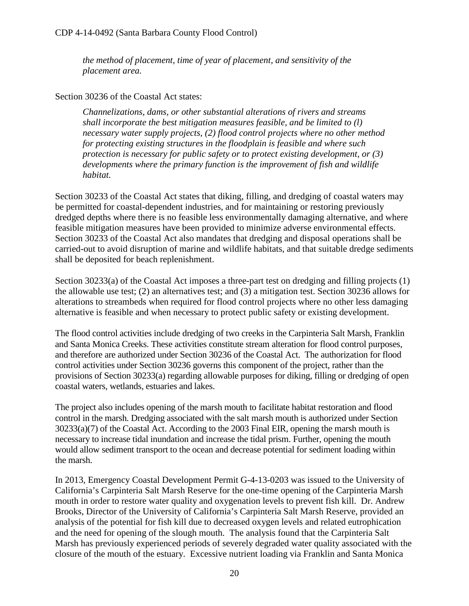*the method of placement, time of year of placement, and sensitivity of the placement area.* 

## Section 30236 of the Coastal Act states:

*Channelizations, dams, or other substantial alterations of rivers and streams shall incorporate the best mitigation measures feasible, and be limited to (l) necessary water supply projects, (2) flood control projects where no other method for protecting existing structures in the floodplain is feasible and where such protection is necessary for public safety or to protect existing development, or (3) developments where the primary function is the improvement of fish and wildlife habitat.* 

Section 30233 of the Coastal Act states that diking, filling, and dredging of coastal waters may be permitted for coastal-dependent industries, and for maintaining or restoring previously dredged depths where there is no feasible less environmentally damaging alternative, and where feasible mitigation measures have been provided to minimize adverse environmental effects. Section 30233 of the Coastal Act also mandates that dredging and disposal operations shall be carried-out to avoid disruption of marine and wildlife habitats, and that suitable dredge sediments shall be deposited for beach replenishment.

Section 30233(a) of the Coastal Act imposes a three-part test on dredging and filling projects (1) the allowable use test; (2) an alternatives test; and (3) a mitigation test. Section 30236 allows for alterations to streambeds when required for flood control projects where no other less damaging alternative is feasible and when necessary to protect public safety or existing development.

The flood control activities include dredging of two creeks in the Carpinteria Salt Marsh, Franklin and Santa Monica Creeks. These activities constitute stream alteration for flood control purposes, and therefore are authorized under Section 30236 of the Coastal Act. The authorization for flood control activities under Section 30236 governs this component of the project, rather than the provisions of Section 30233(a) regarding allowable purposes for diking, filling or dredging of open coastal waters, wetlands, estuaries and lakes.

The project also includes opening of the marsh mouth to facilitate habitat restoration and flood control in the marsh. Dredging associated with the salt marsh mouth is authorized under Section 30233(a)(7) of the Coastal Act. According to the 2003 Final EIR, opening the marsh mouth is necessary to increase tidal inundation and increase the tidal prism. Further, opening the mouth would allow sediment transport to the ocean and decrease potential for sediment loading within the marsh.

In 2013, Emergency Coastal Development Permit G-4-13-0203 was issued to the University of California's Carpinteria Salt Marsh Reserve for the one-time opening of the Carpinteria Marsh mouth in order to restore water quality and oxygenation levels to prevent fish kill. Dr. Andrew Brooks, Director of the University of California's Carpinteria Salt Marsh Reserve, provided an analysis of the potential for fish kill due to decreased oxygen levels and related eutrophication and the need for opening of the slough mouth. The analysis found that the Carpinteria Salt Marsh has previously experienced periods of severely degraded water quality associated with the closure of the mouth of the estuary. Excessive nutrient loading via Franklin and Santa Monica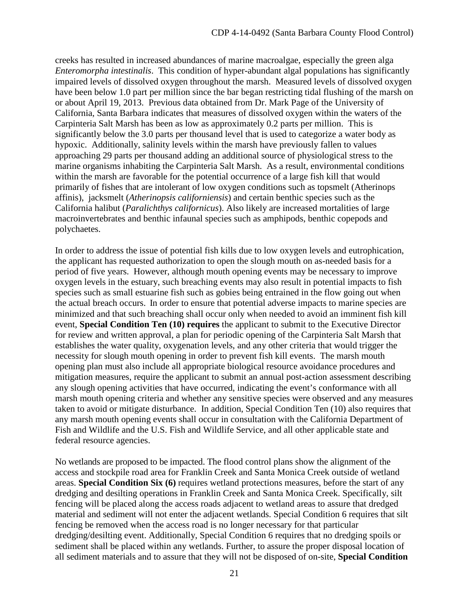creeks has resulted in increased abundances of marine macroalgae, especially the green alga *Enteromorpha intestinalis*. This condition of hyper-abundant algal populations has significantly impaired levels of dissolved oxygen throughout the marsh. Measured levels of dissolved oxygen have been below 1.0 part per million since the bar began restricting tidal flushing of the marsh on or about April 19, 2013. Previous data obtained from Dr. Mark Page of the University of California, Santa Barbara indicates that measures of dissolved oxygen within the waters of the Carpinteria Salt Marsh has been as low as approximately 0.2 parts per million. This is significantly below the 3.0 parts per thousand level that is used to categorize a water body as hypoxic. Additionally, salinity levels within the marsh have previously fallen to values approaching 29 parts per thousand adding an additional source of physiological stress to the marine organisms inhabiting the Carpinteria Salt Marsh. As a result, environmental conditions within the marsh are favorable for the potential occurrence of a large fish kill that would primarily of fishes that are intolerant of low oxygen conditions such as topsmelt (Atherinops affinis), jacksmelt (*Atherinopsis californiensis*) and certain benthic species such as the California halibut (*Paralichthys californicus*). Also likely are increased mortalities of large macroinvertebrates and benthic infaunal species such as amphipods, benthic copepods and polychaetes.

In order to address the issue of potential fish kills due to low oxygen levels and eutrophication, the applicant has requested authorization to open the slough mouth on as-needed basis for a period of five years. However, although mouth opening events may be necessary to improve oxygen levels in the estuary, such breaching events may also result in potential impacts to fish species such as small estuarine fish such as gobies being entrained in the flow going out when the actual breach occurs.In order to ensure that potential adverse impacts to marine species are minimized and that such breaching shall occur only when needed to avoid an imminent fish kill event, **Special Condition Ten (10) requires** the applicant to submit to the Executive Director for review and written approval, a plan for periodic opening of the Carpinteria Salt Marsh that establishes the water quality, oxygenation levels, and any other criteria that would trigger the necessity for slough mouth opening in order to prevent fish kill events. The marsh mouth opening plan must also include all appropriate biological resource avoidance procedures and mitigation measures, require the applicant to submit an annual post-action assessment describing any slough opening activities that have occurred, indicating the event's conformance with all marsh mouth opening criteria and whether any sensitive species were observed and any measures taken to avoid or mitigate disturbance. In addition, Special Condition Ten (10) also requires that any marsh mouth opening events shall occur in consultation with the California Department of Fish and Wildlife and the U.S. Fish and Wildlife Service, and all other applicable state and federal resource agencies.

No wetlands are proposed to be impacted. The flood control plans show the alignment of the access and stockpile road area for Franklin Creek and Santa Monica Creek outside of wetland areas. **Special Condition Six (6)** requires wetland protections measures, before the start of any dredging and desilting operations in Franklin Creek and Santa Monica Creek. Specifically, silt fencing will be placed along the access roads adjacent to wetland areas to assure that dredged material and sediment will not enter the adjacent wetlands. Special Condition 6 requires that silt fencing be removed when the access road is no longer necessary for that particular dredging/desilting event. Additionally, Special Condition 6 requires that no dredging spoils or sediment shall be placed within any wetlands. Further, to assure the proper disposal location of all sediment materials and to assure that they will not be disposed of on-site, **Special Condition**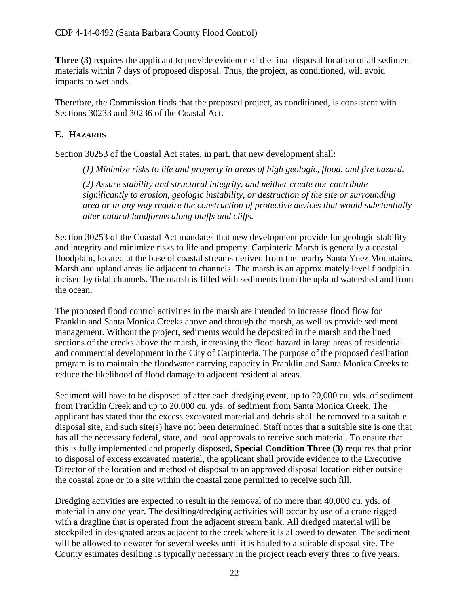**Three (3)** requires the applicant to provide evidence of the final disposal location of all sediment materials within 7 days of proposed disposal. Thus, the project, as conditioned, will avoid impacts to wetlands.

Therefore, the Commission finds that the proposed project, as conditioned, is consistent with Sections 30233 and 30236 of the Coastal Act.

# <span id="page-21-0"></span>**E. HAZARDS**

Section 30253 of the Coastal Act states, in part, that new development shall:

*(1) Minimize risks to life and property in areas of high geologic, flood, and fire hazard.* 

*(2) Assure stability and structural integrity, and neither create nor contribute significantly to erosion, geologic instability, or destruction of the site or surrounding area or in any way require the construction of protective devices that would substantially alter natural landforms along bluffs and cliffs.* 

Section 30253 of the Coastal Act mandates that new development provide for geologic stability and integrity and minimize risks to life and property. Carpinteria Marsh is generally a coastal floodplain, located at the base of coastal streams derived from the nearby Santa Ynez Mountains. Marsh and upland areas lie adjacent to channels. The marsh is an approximately level floodplain incised by tidal channels. The marsh is filled with sediments from the upland watershed and from the ocean.

The proposed flood control activities in the marsh are intended to increase flood flow for Franklin and Santa Monica Creeks above and through the marsh, as well as provide sediment management. Without the project, sediments would be deposited in the marsh and the lined sections of the creeks above the marsh, increasing the flood hazard in large areas of residential and commercial development in the City of Carpinteria. The purpose of the proposed desiltation program is to maintain the floodwater carrying capacity in Franklin and Santa Monica Creeks to reduce the likelihood of flood damage to adjacent residential areas.

Sediment will have to be disposed of after each dredging event, up to 20,000 cu. yds. of sediment from Franklin Creek and up to 20,000 cu. yds. of sediment from Santa Monica Creek. The applicant has stated that the excess excavated material and debris shall be removed to a suitable disposal site, and such site(s) have not been determined. Staff notes that a suitable site is one that has all the necessary federal, state, and local approvals to receive such material. To ensure that this is fully implemented and properly disposed, **Special Condition Three (3)** requires that prior to disposal of excess excavated material, the applicant shall provide evidence to the Executive Director of the location and method of disposal to an approved disposal location either outside the coastal zone or to a site within the coastal zone permitted to receive such fill.

Dredging activities are expected to result in the removal of no more than 40,000 cu. yds. of material in any one year. The desilting/dredging activities will occur by use of a crane rigged with a dragline that is operated from the adjacent stream bank. All dredged material will be stockpiled in designated areas adjacent to the creek where it is allowed to dewater. The sediment will be allowed to dewater for several weeks until it is hauled to a suitable disposal site. The County estimates desilting is typically necessary in the project reach every three to five years.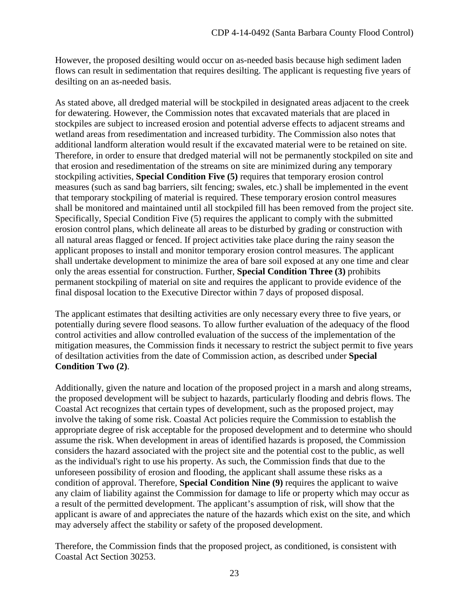However, the proposed desilting would occur on as-needed basis because high sediment laden flows can result in sedimentation that requires desilting. The applicant is requesting five years of desilting on an as-needed basis.

As stated above, all dredged material will be stockpiled in designated areas adjacent to the creek for dewatering. However, the Commission notes that excavated materials that are placed in stockpiles are subject to increased erosion and potential adverse effects to adjacent streams and wetland areas from resedimentation and increased turbidity. The Commission also notes that additional landform alteration would result if the excavated material were to be retained on site. Therefore, in order to ensure that dredged material will not be permanently stockpiled on site and that erosion and resedimentation of the streams on site are minimized during any temporary stockpiling activities, **Special Condition Five (5)** requires that temporary erosion control measures (such as sand bag barriers, silt fencing; swales, etc.) shall be implemented in the event that temporary stockpiling of material is required. These temporary erosion control measures shall be monitored and maintained until all stockpiled fill has been removed from the project site. Specifically, Special Condition Five (5) requires the applicant to comply with the submitted erosion control plans, which delineate all areas to be disturbed by grading or construction with all natural areas flagged or fenced. If project activities take place during the rainy season the applicant proposes to install and monitor temporary erosion control measures. The applicant shall undertake development to minimize the area of bare soil exposed at any one time and clear only the areas essential for construction. Further, **Special Condition Three (3)** prohibits permanent stockpiling of material on site and requires the applicant to provide evidence of the final disposal location to the Executive Director within 7 days of proposed disposal.

The applicant estimates that desilting activities are only necessary every three to five years, or potentially during severe flood seasons. To allow further evaluation of the adequacy of the flood control activities and allow controlled evaluation of the success of the implementation of the mitigation measures, the Commission finds it necessary to restrict the subject permit to five years of desiltation activities from the date of Commission action, as described under **Special Condition Two (2)**.

Additionally, given the nature and location of the proposed project in a marsh and along streams, the proposed development will be subject to hazards, particularly flooding and debris flows. The Coastal Act recognizes that certain types of development, such as the proposed project, may involve the taking of some risk. Coastal Act policies require the Commission to establish the appropriate degree of risk acceptable for the proposed development and to determine who should assume the risk. When development in areas of identified hazards is proposed, the Commission considers the hazard associated with the project site and the potential cost to the public, as well as the individual's right to use his property. As such, the Commission finds that due to the unforeseen possibility of erosion and flooding, the applicant shall assume these risks as a condition of approval. Therefore, **Special Condition Nine (9)** requires the applicant to waive any claim of liability against the Commission for damage to life or property which may occur as a result of the permitted development. The applicant's assumption of risk, will show that the applicant is aware of and appreciates the nature of the hazards which exist on the site, and which may adversely affect the stability or safety of the proposed development.

Therefore, the Commission finds that the proposed project, as conditioned, is consistent with Coastal Act Section 30253.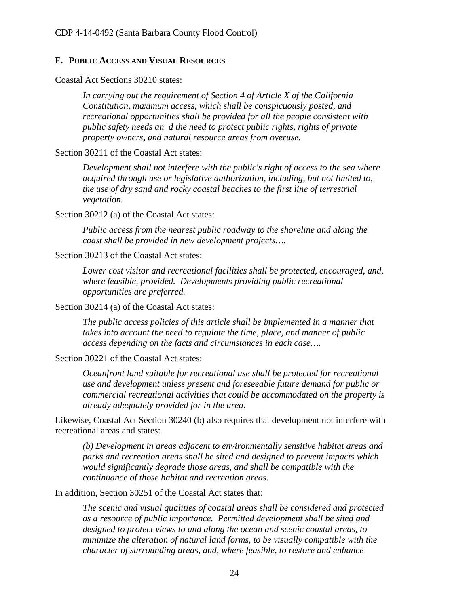#### <span id="page-23-0"></span>**F. PUBLIC ACCESS AND VISUAL RESOURCES**

Coastal Act Sections 30210 states:

*In carrying out the requirement of Section 4 of Article X of the California Constitution, maximum access, which shall be conspicuously posted, and recreational opportunities shall be provided for all the people consistent with public safety needs an d the need to protect public rights, rights of private property owners, and natural resource areas from overuse.* 

Section 30211 of the Coastal Act states:

*Development shall not interfere with the public's right of access to the sea where acquired through use or legislative authorization, including, but not limited to, the use of dry sand and rocky coastal beaches to the first line of terrestrial vegetation.* 

Section 30212 (a) of the Coastal Act states:

*Public access from the nearest public roadway to the shoreline and along the coast shall be provided in new development projects….* 

Section 30213 of the Coastal Act states:

*Lower cost visitor and recreational facilities shall be protected, encouraged, and, where feasible, provided. Developments providing public recreational opportunities are preferred.*

Section 30214 (a) of the Coastal Act states:

*The public access policies of this article shall be implemented in a manner that takes into account the need to regulate the time, place, and manner of public access depending on the facts and circumstances in each case….* 

Section 30221 of the Coastal Act states:

*Oceanfront land suitable for recreational use shall be protected for recreational use and development unless present and foreseeable future demand for public or commercial recreational activities that could be accommodated on the property is already adequately provided for in the area.* 

Likewise, Coastal Act Section 30240 (b) also requires that development not interfere with recreational areas and states:

*(b) Development in areas adjacent to environmentally sensitive habitat areas and parks and recreation areas shall be sited and designed to prevent impacts which would significantly degrade those areas, and shall be compatible with the continuance of those habitat and recreation areas.*

In addition, Section 30251 of the Coastal Act states that:

*The scenic and visual qualities of coastal areas shall be considered and protected as a resource of public importance. Permitted development shall be sited and designed to protect views to and along the ocean and scenic coastal areas, to minimize the alteration of natural land forms, to be visually compatible with the character of surrounding areas, and, where feasible, to restore and enhance*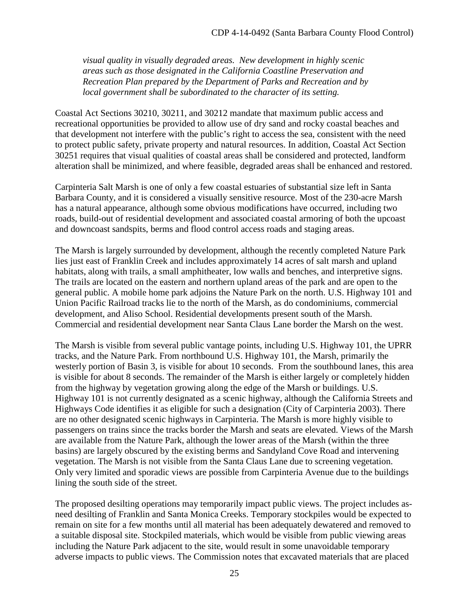*visual quality in visually degraded areas. New development in highly scenic areas such as those designated in the California Coastline Preservation and Recreation Plan prepared by the Department of Parks and Recreation and by local government shall be subordinated to the character of its setting.* 

Coastal Act Sections 30210, 30211, and 30212 mandate that maximum public access and recreational opportunities be provided to allow use of dry sand and rocky coastal beaches and that development not interfere with the public's right to access the sea, consistent with the need to protect public safety, private property and natural resources. In addition, Coastal Act Section 30251 requires that visual qualities of coastal areas shall be considered and protected, landform alteration shall be minimized, and where feasible, degraded areas shall be enhanced and restored.

Carpinteria Salt Marsh is one of only a few coastal estuaries of substantial size left in Santa Barbara County, and it is considered a visually sensitive resource. Most of the 230-acre Marsh has a natural appearance, although some obvious modifications have occurred, including two roads, build-out of residential development and associated coastal armoring of both the upcoast and downcoast sandspits, berms and flood control access roads and staging areas.

The Marsh is largely surrounded by development, although the recently completed Nature Park lies just east of Franklin Creek and includes approximately 14 acres of salt marsh and upland habitats, along with trails, a small amphitheater, low walls and benches, and interpretive signs. The trails are located on the eastern and northern upland areas of the park and are open to the general public. A mobile home park adjoins the Nature Park on the north. U.S. Highway 101 and Union Pacific Railroad tracks lie to the north of the Marsh, as do condominiums, commercial development, and Aliso School. Residential developments present south of the Marsh. Commercial and residential development near Santa Claus Lane border the Marsh on the west.

The Marsh is visible from several public vantage points, including U.S. Highway 101, the UPRR tracks, and the Nature Park. From northbound U.S. Highway 101, the Marsh, primarily the westerly portion of Basin 3, is visible for about 10 seconds. From the southbound lanes, this area is visible for about 8 seconds. The remainder of the Marsh is either largely or completely hidden from the highway by vegetation growing along the edge of the Marsh or buildings. U.S. Highway 101 is not currently designated as a scenic highway, although the California Streets and Highways Code identifies it as eligible for such a designation (City of Carpinteria 2003). There are no other designated scenic highways in Carpinteria. The Marsh is more highly visible to passengers on trains since the tracks border the Marsh and seats are elevated. Views of the Marsh are available from the Nature Park, although the lower areas of the Marsh (within the three basins) are largely obscured by the existing berms and Sandyland Cove Road and intervening vegetation. The Marsh is not visible from the Santa Claus Lane due to screening vegetation. Only very limited and sporadic views are possible from Carpinteria Avenue due to the buildings lining the south side of the street.

The proposed desilting operations may temporarily impact public views. The project includes asneed desilting of Franklin and Santa Monica Creeks. Temporary stockpiles would be expected to remain on site for a few months until all material has been adequately dewatered and removed to a suitable disposal site. Stockpiled materials, which would be visible from public viewing areas including the Nature Park adjacent to the site, would result in some unavoidable temporary adverse impacts to public views. The Commission notes that excavated materials that are placed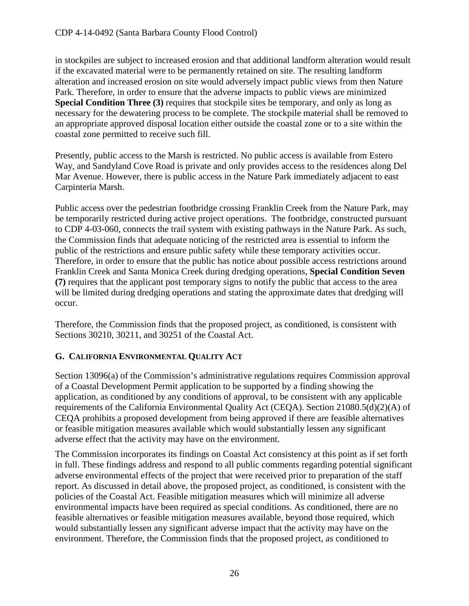in stockpiles are subject to increased erosion and that additional landform alteration would result if the excavated material were to be permanently retained on site. The resulting landform alteration and increased erosion on site would adversely impact public views from then Nature Park. Therefore, in order to ensure that the adverse impacts to public views are minimized **Special Condition Three (3)** requires that stockpile sites be temporary, and only as long as necessary for the dewatering process to be complete. The stockpile material shall be removed to an appropriate approved disposal location either outside the coastal zone or to a site within the coastal zone permitted to receive such fill.

Presently, public access to the Marsh is restricted. No public access is available from Estero Way, and Sandyland Cove Road is private and only provides access to the residences along Del Mar Avenue. However, there is public access in the Nature Park immediately adjacent to east Carpinteria Marsh.

Public access over the pedestrian footbridge crossing Franklin Creek from the Nature Park, may be temporarily restricted during active project operations. The footbridge, constructed pursuant to CDP 4-03-060, connects the trail system with existing pathways in the Nature Park. As such, the Commission finds that adequate noticing of the restricted area is essential to inform the public of the restrictions and ensure public safety while these temporary activities occur. Therefore, in order to ensure that the public has notice about possible access restrictions around Franklin Creek and Santa Monica Creek during dredging operations, **Special Condition Seven (7)** requires that the applicant post temporary signs to notify the public that access to the area will be limited during dredging operations and stating the approximate dates that dredging will occur.

Therefore, the Commission finds that the proposed project, as conditioned, is consistent with Sections 30210, 30211, and 30251 of the Coastal Act.

# <span id="page-25-0"></span>**G. CALIFORNIA ENVIRONMENTAL QUALITY ACT**

Section 13096(a) of the Commission's administrative regulations requires Commission approval of a Coastal Development Permit application to be supported by a finding showing the application, as conditioned by any conditions of approval, to be consistent with any applicable requirements of the California Environmental Quality Act (CEQA). Section 21080.5(d)(2)(A) of CEQA prohibits a proposed development from being approved if there are feasible alternatives or feasible mitigation measures available which would substantially lessen any significant adverse effect that the activity may have on the environment.

The Commission incorporates its findings on Coastal Act consistency at this point as if set forth in full. These findings address and respond to all public comments regarding potential significant adverse environmental effects of the project that were received prior to preparation of the staff report. As discussed in detail above, the proposed project, as conditioned, is consistent with the policies of the Coastal Act. Feasible mitigation measures which will minimize all adverse environmental impacts have been required as special conditions. As conditioned, there are no feasible alternatives or feasible mitigation measures available, beyond those required, which would substantially lessen any significant adverse impact that the activity may have on the environment. Therefore, the Commission finds that the proposed project, as conditioned to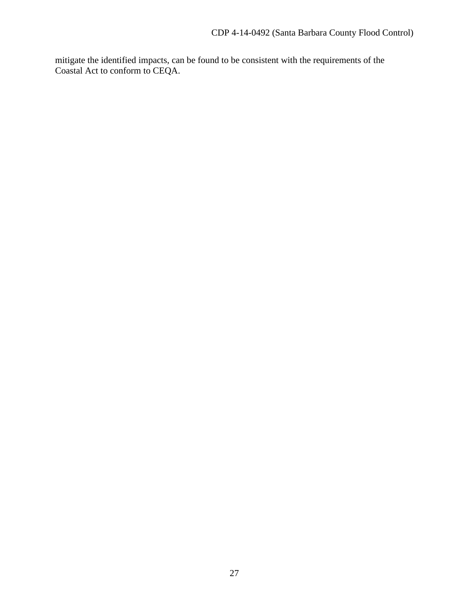mitigate the identified impacts, can be found to be consistent with the requirements of the Coastal Act to conform to CEQA.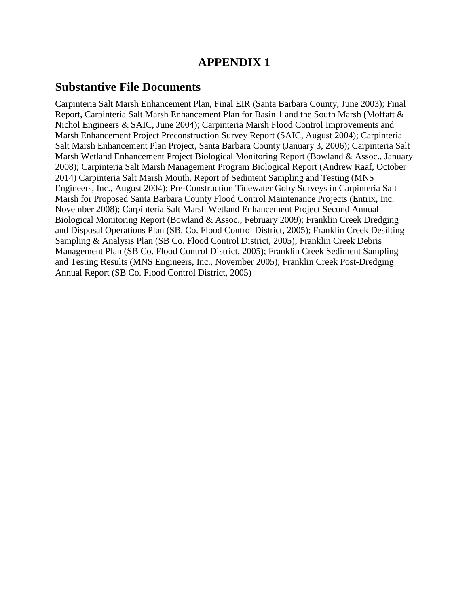# **APPENDIX 1**

# **Substantive File Documents**

Carpinteria Salt Marsh Enhancement Plan, Final EIR (Santa Barbara County, June 2003); Final Report, Carpinteria Salt Marsh Enhancement Plan for Basin 1 and the South Marsh (Moffatt & Nichol Engineers & SAIC, June 2004); Carpinteria Marsh Flood Control Improvements and Marsh Enhancement Project Preconstruction Survey Report (SAIC, August 2004); Carpinteria Salt Marsh Enhancement Plan Project, Santa Barbara County (January 3, 2006); Carpinteria Salt Marsh Wetland Enhancement Project Biological Monitoring Report (Bowland & Assoc., January 2008); Carpinteria Salt Marsh Management Program Biological Report (Andrew Raaf, October 2014) Carpinteria Salt Marsh Mouth, Report of Sediment Sampling and Testing (MNS Engineers, Inc., August 2004); Pre-Construction Tidewater Goby Surveys in Carpinteria Salt Marsh for Proposed Santa Barbara County Flood Control Maintenance Projects (Entrix, Inc. November 2008); Carpinteria Salt Marsh Wetland Enhancement Project Second Annual Biological Monitoring Report (Bowland & Assoc., February 2009); Franklin Creek Dredging and Disposal Operations Plan (SB. Co. Flood Control District, 2005); Franklin Creek Desilting Sampling & Analysis Plan (SB Co. Flood Control District, 2005); Franklin Creek Debris Management Plan (SB Co. Flood Control District, 2005); Franklin Creek Sediment Sampling and Testing Results (MNS Engineers, Inc., November 2005); Franklin Creek Post-Dredging Annual Report (SB Co. Flood Control District, 2005)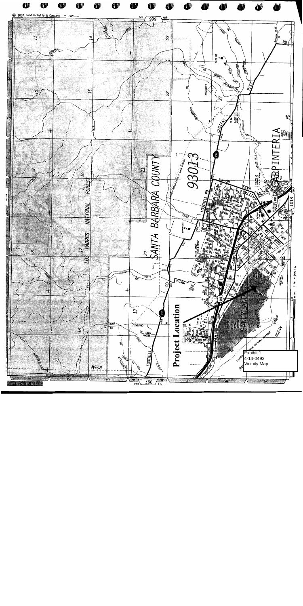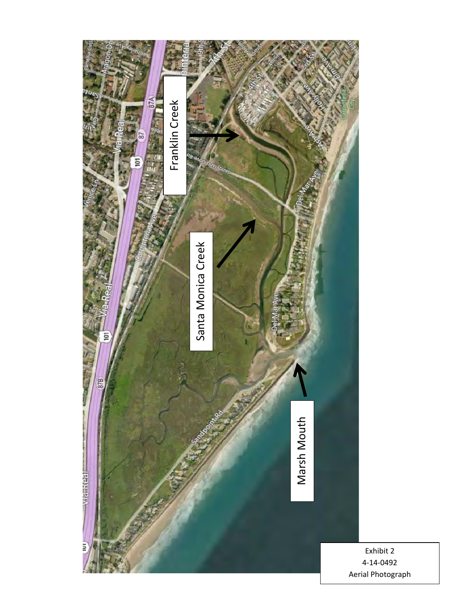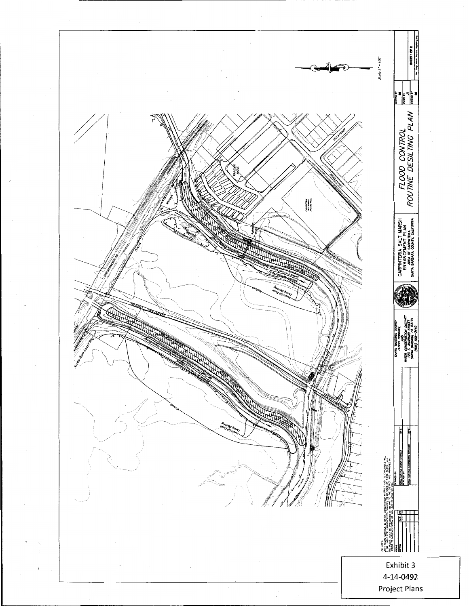